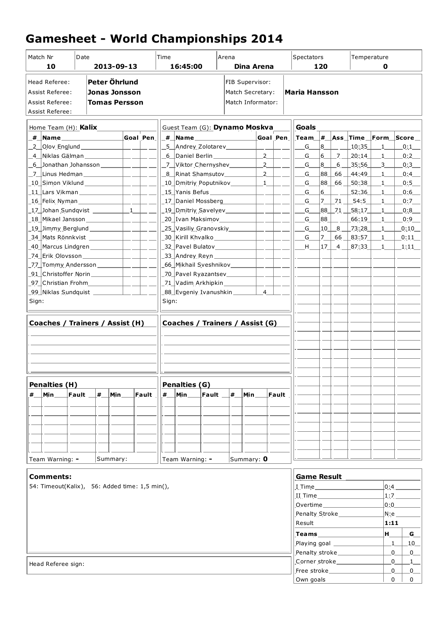## **Gamesheet - World Championships 2014**

| Match Nr<br>Date<br>10<br>2013-09-13                                                                                                                  |                                                |   |          | Time<br>16:45:00             |                                           |                                                                                 | Arena<br>Dina Arena |    |            |                                                      | Spectators<br>120                                                          |                          |           |                              | Temperature<br>0                  |                              |                                                                                                                                                                                                                |
|-------------------------------------------------------------------------------------------------------------------------------------------------------|------------------------------------------------|---|----------|------------------------------|-------------------------------------------|---------------------------------------------------------------------------------|---------------------|----|------------|------------------------------------------------------|----------------------------------------------------------------------------|--------------------------|-----------|------------------------------|-----------------------------------|------------------------------|----------------------------------------------------------------------------------------------------------------------------------------------------------------------------------------------------------------|
| Peter Öhrlund<br>Head Referee:<br><b>Assist Referee:</b><br><b>Jonas Jonsson</b><br><b>Assist Referee:</b><br><b>Tomas Persson</b><br>Assist Referee: |                                                |   |          |                              |                                           | FIB Supervisor:<br>Match Secretary:<br>Match Informator:                        |                     |    |            |                                                      | <b>Maria Hansson</b>                                                       |                          |           |                              |                                   |                              |                                                                                                                                                                                                                |
| Home Team (H): Kalix                                                                                                                                  |                                                |   |          |                              |                                           | Guest Team (G): Dynamo Moskva                                                   |                     |    |            |                                                      |                                                                            | Goals                    |           |                              |                                   |                              |                                                                                                                                                                                                                |
|                                                                                                                                                       |                                                |   |          | $\lfloor$ Goal Pen $\lfloor$ |                                           |                                                                                 |                     |    |            | Goal Pen                                             |                                                                            |                          |           |                              |                                   |                              | $\left\lfloor$ Team $\left\lfloor \frac{\#}{\#} \right\rfloor$ Ass $\left\lfloor \frac{\#}{\#} \right\rfloor$ Time $\left\lfloor \frac{\#}{\#} \right\rfloor$ Score $\left\lfloor \frac{\#}{\#} \right\rfloor$ |
| _2__Qlov_Englund _______________                                                                                                                      |                                                |   |          |                              | _5__Andrey_Zolotarev___________           |                                                                                 |                     |    |            |                                                      | $G_{-}$                                                                    | 8                        |           | 10:35                        | $\mathbf{1}$                      | 0:1                          |                                                                                                                                                                                                                |
| 4 Niklas Gälman<br>$ -$                                                                                                                               |                                                |   |          |                              | $-2$<br>_6__Daniel Berlin _______________ |                                                                                 |                     |    |            |                                                      | $G_{-}$                                                                    | $ 6\rangle$              |           | _7 <u>__ 20 :14 __ _ 1 _</u> |                                   | 0:2                          |                                                                                                                                                                                                                |
| _6___Jonathan Johansson ________                                                                                                                      |                                                |   |          | $-1$                         |                                           | _7__Viktor Chernyshev________<br>$-2$<br>$\sim$                                 |                     |    |            |                                                      |                                                                            | G                        | 8         | 6                            | 35:56                             | $\overline{\mathbf{3}}$      | 0:3                                                                                                                                                                                                            |
| _7__Linus Hedman ______________                                                                                                                       |                                                |   |          | $\overline{\phantom{a}}$     |                                           | $\frac{2}{2}$<br>_8_Rinat Shamsutov_________                                    |                     |    |            |                                                      |                                                                            | G                        | 88        |                              | $66$ $44:49$                      | $\mathbf{1}$                 | 0:4                                                                                                                                                                                                            |
|                                                                                                                                                       |                                                |   |          | $\overline{\phantom{a}}$     |                                           | _10_Dmitriy_Poputnikov________<br>$\mathbf{1}$<br>_15_Yanis Befus _____________ |                     |    |            |                                                      |                                                                            | $G_{-}$<br>$G_{-}$       | 88  <br>6 |                              | $\_66 \perp 50.38 \perp$<br>52:36 | $\mathbf{1}$<br>$\mathbf{1}$ | 0:5<br>0:6                                                                                                                                                                                                     |
| 16 Felix Nyman                                                                                                                                        |                                                |   |          | $\overline{\phantom{a}}$     |                                           | _17_Daniel Mossberg__________                                                   |                     |    |            |                                                      |                                                                            | $G_{-}$                  | 17_       | 71                           | 54:5                              | $\mathbf{1}$                 | 0:7                                                                                                                                                                                                            |
| _17_Johan Sundqvist __________                                                                                                                        |                                                |   |          | $\mathbf{1}$                 |                                           |                                                                                 |                     |    |            | $-1$                                                 |                                                                            | $G_{-}$                  |           |                              | $88$ $21$ $-58:17$                | 1                            | 0:8                                                                                                                                                                                                            |
| 18 Mikael Jansson                                                                                                                                     |                                                |   |          | $\overline{\phantom{a}}$     |                                           | _19_Dmitriy_Savelyev__________<br>_20_Ivan Maksimov____________<br>$-1$         |                     |    |            |                                                      |                                                                            | $G_{-}$                  | 88        |                              | 66:19                             | $\overline{1}$               | 0:9                                                                                                                                                                                                            |
| _19_Jimmy_Berglund ___________                                                                                                                        |                                                |   |          | $\sim$                       |                                           | _25_Vasiliy Granovskiy_________                                                 |                     |    |            | $\overline{\phantom{a}}$                             |                                                                            | G                        | 10        | 8                            | 73:28                             | $\mathbf{1}$                 | 0:10                                                                                                                                                                                                           |
| 34 Mats Rönnkvist                                                                                                                                     |                                                |   |          |                              |                                           | _30_ Kirill Khvalko_______________                                              |                     |    |            |                                                      |                                                                            | G                        | 17.       |                              | $66 \perp 83.57$                  | $\mathbf{1}$                 | 0:11                                                                                                                                                                                                           |
| 40 Marcus Lindgren                                                                                                                                    |                                                |   |          | $\overline{\phantom{a}}$     |                                           | _32_Pavel Bulatov_______________                                                |                     |    |            | $\overline{\phantom{a}}$                             |                                                                            | H                        | $17-$     | $\overline{4}$               | 87:33                             | 1                            | $\_1:11$                                                                                                                                                                                                       |
| _77_Tommy Andersson ________                                                                                                                          |                                                |   |          | $\overline{\phantom{a}}$     |                                           | _66_Mikhail Sveshnikov__________                                                |                     |    |            | $\overline{\phantom{a}}$<br>$\overline{\phantom{a}}$ |                                                                            |                          |           |                              |                                   |                              |                                                                                                                                                                                                                |
| _91_ Christoffer Norin ____________                                                                                                                   |                                                |   |          | $\overline{\phantom{a}}$     |                                           | _70_Pavel Ryazantsev__________                                                  |                     |    |            | $-1$                                                 |                                                                            |                          |           |                              |                                   |                              |                                                                                                                                                                                                                |
| _97_Christian Frohm____________                                                                                                                       |                                                |   |          |                              |                                           | _71_Vadim Arkhipkin _________                                                   |                     |    |            |                                                      |                                                                            |                          |           |                              |                                   |                              |                                                                                                                                                                                                                |
| _99_ Niklas Sundquist __________                                                                                                                      |                                                |   |          | $\sim$                       |                                           | $\overline{4}$<br>_88_Evgeniy_Ivanushkin ________                               |                     |    |            |                                                      |                                                                            |                          |           |                              |                                   |                              |                                                                                                                                                                                                                |
| Sign:                                                                                                                                                 |                                                |   |          |                              |                                           | Sign:                                                                           |                     |    |            |                                                      |                                                                            |                          |           |                              |                                   |                              |                                                                                                                                                                                                                |
|                                                                                                                                                       |                                                |   |          |                              |                                           |                                                                                 |                     |    |            |                                                      |                                                                            |                          |           |                              |                                   |                              |                                                                                                                                                                                                                |
| Coaches / Trainers / Assist (H)                                                                                                                       |                                                |   |          |                              |                                           | Coaches / Trainers / Assist (G)                                                 |                     |    |            |                                                      |                                                                            |                          |           |                              |                                   |                              |                                                                                                                                                                                                                |
|                                                                                                                                                       |                                                |   |          |                              |                                           |                                                                                 |                     |    |            |                                                      |                                                                            |                          |           |                              |                                   |                              |                                                                                                                                                                                                                |
|                                                                                                                                                       |                                                |   |          |                              |                                           |                                                                                 |                     |    |            |                                                      |                                                                            |                          |           |                              |                                   |                              |                                                                                                                                                                                                                |
|                                                                                                                                                       |                                                |   |          |                              |                                           |                                                                                 |                     |    |            |                                                      |                                                                            |                          |           |                              |                                   |                              |                                                                                                                                                                                                                |
|                                                                                                                                                       |                                                |   |          |                              |                                           |                                                                                 |                     |    |            |                                                      |                                                                            |                          |           |                              |                                   |                              |                                                                                                                                                                                                                |
|                                                                                                                                                       |                                                |   |          |                              |                                           |                                                                                 |                     |    |            |                                                      |                                                                            |                          |           |                              |                                   |                              |                                                                                                                                                                                                                |
| Penalties (H)                                                                                                                                         |                                                |   |          |                              |                                           | Penalties (G)                                                                   |                     |    |            |                                                      |                                                                            |                          |           |                              |                                   |                              |                                                                                                                                                                                                                |
| $Min_$<br>#                                                                                                                                           | Fault                                          | # | Min      | Fault                        | #                                         | Min                                                                             | Fault _             | ∣# | $Min_$     | Fault                                                |                                                                            |                          |           |                              |                                   |                              |                                                                                                                                                                                                                |
|                                                                                                                                                       |                                                |   |          |                              |                                           |                                                                                 |                     |    |            |                                                      |                                                                            |                          |           |                              |                                   |                              |                                                                                                                                                                                                                |
|                                                                                                                                                       |                                                |   |          |                              |                                           |                                                                                 |                     |    |            |                                                      |                                                                            |                          |           |                              |                                   |                              |                                                                                                                                                                                                                |
|                                                                                                                                                       |                                                |   |          |                              |                                           |                                                                                 |                     |    |            |                                                      |                                                                            |                          |           |                              |                                   |                              |                                                                                                                                                                                                                |
|                                                                                                                                                       |                                                |   |          |                              |                                           |                                                                                 |                     |    |            |                                                      |                                                                            |                          |           |                              |                                   |                              |                                                                                                                                                                                                                |
|                                                                                                                                                       |                                                |   |          |                              |                                           |                                                                                 |                     |    |            |                                                      |                                                                            |                          |           |                              |                                   |                              |                                                                                                                                                                                                                |
| Team Warning: -                                                                                                                                       |                                                |   | Summary: |                              |                                           | Team Warning: -                                                                 |                     |    | Summary: 0 |                                                      |                                                                            |                          |           |                              |                                   |                              |                                                                                                                                                                                                                |
| <b>Comments:</b>                                                                                                                                      |                                                |   |          |                              |                                           |                                                                                 |                     |    |            |                                                      |                                                                            |                          |           |                              |                                   |                              |                                                                                                                                                                                                                |
|                                                                                                                                                       | 54: Timeout(Kalix), 56: Added time: 1,5 min(), |   |          |                              |                                           |                                                                                 |                     |    |            | <b>Game Result</b>                                   |                                                                            |                          |           |                              | 0:4                               |                              |                                                                                                                                                                                                                |
|                                                                                                                                                       |                                                |   |          |                              |                                           |                                                                                 |                     |    |            |                                                      |                                                                            | II Time                  |           |                              |                                   |                              | 1:7                                                                                                                                                                                                            |
|                                                                                                                                                       |                                                |   |          |                              |                                           |                                                                                 |                     |    |            |                                                      |                                                                            | Overtime _______________ |           |                              |                                   |                              | 0:0                                                                                                                                                                                                            |
|                                                                                                                                                       |                                                |   |          |                              |                                           |                                                                                 |                     |    |            |                                                      | Penalty Stroke________                                                     |                          |           |                              | $N:$ e $\_\_$                     |                              |                                                                                                                                                                                                                |
|                                                                                                                                                       |                                                |   |          |                              |                                           |                                                                                 |                     |    |            |                                                      | Result                                                                     |                          |           |                              | 1:11                              |                              |                                                                                                                                                                                                                |
|                                                                                                                                                       |                                                |   |          |                              |                                           |                                                                                 |                     |    |            |                                                      |                                                                            |                          |           |                              | H                                 | $G_{-}$                      |                                                                                                                                                                                                                |
|                                                                                                                                                       |                                                |   |          |                              |                                           |                                                                                 |                     |    |            |                                                      | Playing goal ____________                                                  |                          |           |                              |                                   | 1<br>10                      |                                                                                                                                                                                                                |
|                                                                                                                                                       |                                                |   |          |                              |                                           |                                                                                 |                     |    |            |                                                      | Penalty stroke                                                             |                          |           |                              | $\mathbf{0}$<br>$\overline{0}$    |                              |                                                                                                                                                                                                                |
| Head Referee sign:                                                                                                                                    |                                                |   |          |                              |                                           |                                                                                 |                     |    |            |                                                      | Corner stroke<br>$\mathbf{0}$<br>$\mathbf{0}$<br>Free stroke______________ |                          |           |                              | 1<br>0                            |                              |                                                                                                                                                                                                                |
|                                                                                                                                                       |                                                |   |          |                              |                                           |                                                                                 |                     |    |            |                                                      |                                                                            | Own goals                |           |                              |                                   |                              | $\Omega$<br>$\mathbf{0}$                                                                                                                                                                                       |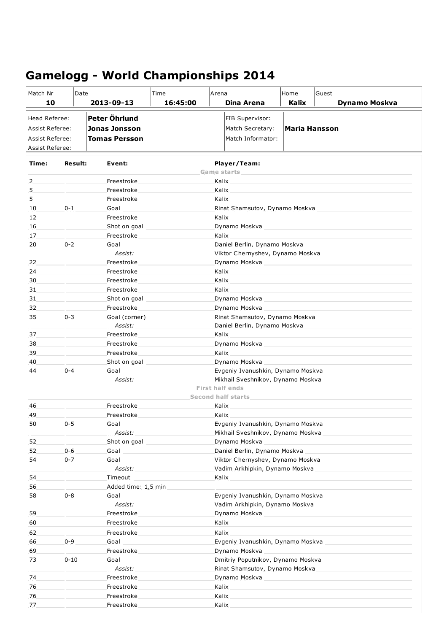## **Gamelogg - World Championships 2014**

| Match Nr                                                          | Date           |                                                        | Time     | Arena |                                                                                                                                                                                                                                | Home          | Guest                                                                                                                                                                                                                          |  |  |
|-------------------------------------------------------------------|----------------|--------------------------------------------------------|----------|-------|--------------------------------------------------------------------------------------------------------------------------------------------------------------------------------------------------------------------------------|---------------|--------------------------------------------------------------------------------------------------------------------------------------------------------------------------------------------------------------------------------|--|--|
| 10                                                                |                | 2013-09-13                                             | 16:45:00 |       | Dina Arena                                                                                                                                                                                                                     | Kalix         | <b>Dynamo Moskva</b>                                                                                                                                                                                                           |  |  |
| Head Referee:<br><b>Assist Referee:</b><br><b>Assist Referee:</b> |                | Peter Öhrlund<br>Jonas Jonsson<br><b>Tomas Persson</b> |          |       | FIB Supervisor:<br>Match Secretary:<br>Match Informator:                                                                                                                                                                       | Maria Hansson |                                                                                                                                                                                                                                |  |  |
| Assist Referee:                                                   |                |                                                        |          |       |                                                                                                                                                                                                                                |               |                                                                                                                                                                                                                                |  |  |
| Time:                                                             | <b>Result:</b> | Event:                                                 |          |       | Player/Team:<br><b>Game starts</b>                                                                                                                                                                                             |               |                                                                                                                                                                                                                                |  |  |
| 2                                                                 |                | Freestroke                                             |          | Kalix |                                                                                                                                                                                                                                |               |                                                                                                                                                                                                                                |  |  |
| 5                                                                 |                | Freestroke                                             |          | Kalix |                                                                                                                                                                                                                                |               |                                                                                                                                                                                                                                |  |  |
| 5                                                                 |                | Freestroke                                             |          | Kalix |                                                                                                                                                                                                                                |               |                                                                                                                                                                                                                                |  |  |
| 10                                                                | $0 - 1$        | Goal                                                   |          |       |                                                                                                                                                                                                                                |               | Rinat Shamsutov, Dynamo Moskva                                                                                                                                                                                                 |  |  |
| 12                                                                |                | Freestroke                                             |          | Kalix |                                                                                                                                                                                                                                |               |                                                                                                                                                                                                                                |  |  |
| 16                                                                |                | Shot on goal                                           |          |       | Dynamo Moskva en al control de la control de la control de la control de la control de la control de la control de la control de la control de la control de la control de la control de la control de la control de la contro |               |                                                                                                                                                                                                                                |  |  |
| 17                                                                |                | Freestroke                                             |          | Kalix |                                                                                                                                                                                                                                |               |                                                                                                                                                                                                                                |  |  |
| 20                                                                | $0 - 2$        | Goal<br>Assist:                                        |          |       | Daniel Berlin, Dynamo Moskva                                                                                                                                                                                                   |               | Viktor Chernyshev, Dynamo Moskva                                                                                                                                                                                               |  |  |
| 22                                                                |                | Freestroke                                             |          |       |                                                                                                                                                                                                                                |               | Dynamo Moskva en al control de la control de la control de la control de la control de la control de la control de la control de la control de la control de la control de la control de la control de la control de la contro |  |  |
| 24                                                                |                | Freestroke                                             |          | Kalix |                                                                                                                                                                                                                                |               |                                                                                                                                                                                                                                |  |  |
| 30                                                                |                | Freestroke                                             |          | Kalix |                                                                                                                                                                                                                                |               |                                                                                                                                                                                                                                |  |  |
| 31                                                                |                | Freestroke                                             |          | Kalix |                                                                                                                                                                                                                                |               |                                                                                                                                                                                                                                |  |  |
| 31                                                                |                | Shot on goal                                           |          |       |                                                                                                                                                                                                                                |               |                                                                                                                                                                                                                                |  |  |
| 32                                                                |                | Freestroke                                             |          |       | Dynamo Moskva                                                                                                                                                                                                                  |               |                                                                                                                                                                                                                                |  |  |
| 35                                                                | $0 - 3$        | Goal (corner)<br>Assist:                               |          |       | Rinat Shamsutov, Dynamo Moskva<br>Daniel Berlin, Dynamo Moskva                                                                                                                                                                 |               |                                                                                                                                                                                                                                |  |  |
| 37                                                                |                | Freestroke                                             |          | Kalix |                                                                                                                                                                                                                                |               |                                                                                                                                                                                                                                |  |  |
| 38                                                                |                | Freestroke                                             |          |       | Dynamo Moskva en al controllado de la controllado de la controllado de la controllado de la controllado de la                                                                                                                  |               |                                                                                                                                                                                                                                |  |  |
| 39                                                                |                | Freestroke                                             |          | Kalix |                                                                                                                                                                                                                                |               |                                                                                                                                                                                                                                |  |  |
| 40                                                                |                | Shot on goal                                           |          |       | Dynamo Moskva                                                                                                                                                                                                                  |               |                                                                                                                                                                                                                                |  |  |
| 44                                                                | $0 - 4$        | Goal<br>Assist:                                        |          |       | Evgeniy Ivanushkin, Dynamo Moskva<br>Mikhail Sveshnikov, Dynamo Moskva                                                                                                                                                         |               |                                                                                                                                                                                                                                |  |  |
|                                                                   |                |                                                        |          |       | <b>First half ends</b><br><b>Second half starts</b>                                                                                                                                                                            |               |                                                                                                                                                                                                                                |  |  |
| 46                                                                |                | Freestroke                                             |          | Kalix |                                                                                                                                                                                                                                |               |                                                                                                                                                                                                                                |  |  |
| 49                                                                |                | Freestroke                                             |          | Kalix |                                                                                                                                                                                                                                |               |                                                                                                                                                                                                                                |  |  |
| 50                                                                | $0 - 5$        | Goal<br>Assist:                                        |          |       | Evgeniy Ivanushkin, Dynamo Moskva<br>Mikhail Sveshnikov, Dynamo Moskva                                                                                                                                                         |               |                                                                                                                                                                                                                                |  |  |
| 52                                                                |                | Shot on goal                                           |          |       | Dynamo Moskva                                                                                                                                                                                                                  |               |                                                                                                                                                                                                                                |  |  |
| 52                                                                | $0 - 6$        | Goal                                                   |          |       | Daniel Berlin, Dynamo Moskva                                                                                                                                                                                                   |               |                                                                                                                                                                                                                                |  |  |
| 54                                                                | $0 - 7$        | Goal                                                   |          |       | Viktor Chernyshev, Dynamo Moskva                                                                                                                                                                                               |               |                                                                                                                                                                                                                                |  |  |
|                                                                   |                | Assist:                                                |          |       | Vadim Arkhipkin, Dynamo Moskva                                                                                                                                                                                                 |               |                                                                                                                                                                                                                                |  |  |
| 54                                                                |                | Timeout                                                |          | Kalix |                                                                                                                                                                                                                                |               |                                                                                                                                                                                                                                |  |  |
| 56                                                                |                | Added time: 1,5 min                                    |          |       |                                                                                                                                                                                                                                |               |                                                                                                                                                                                                                                |  |  |
| 58                                                                | $0 - 8$        | Goal<br>Assist:                                        |          |       | Evgeniy Ivanushkin, Dynamo Moskva<br>Vadim Arkhipkin, Dynamo Moskva                                                                                                                                                            |               |                                                                                                                                                                                                                                |  |  |
| 59                                                                |                | Freestroke                                             |          |       | Dynamo Moskva                                                                                                                                                                                                                  |               |                                                                                                                                                                                                                                |  |  |
| 60                                                                |                | Freestroke                                             |          | Kalix |                                                                                                                                                                                                                                |               |                                                                                                                                                                                                                                |  |  |
| 62                                                                |                | Freestroke                                             |          | Kalix |                                                                                                                                                                                                                                |               |                                                                                                                                                                                                                                |  |  |
| 66                                                                | $0 - 9$        | Goal                                                   |          |       |                                                                                                                                                                                                                                |               | Evgeniy Ivanushkin, Dynamo Moskva <b>Martin Marson Adamson</b>                                                                                                                                                                 |  |  |
| 69                                                                |                | Freestroke                                             |          |       | Dynamo Moskva                                                                                                                                                                                                                  |               |                                                                                                                                                                                                                                |  |  |
| 73                                                                | $0 - 10$       | Goal<br>Assist:                                        |          |       | Dmitriy Poputnikov, Dynamo Moskva<br>Rinat Shamsutov, Dynamo Moskva                                                                                                                                                            |               |                                                                                                                                                                                                                                |  |  |
| 74                                                                |                | Freestroke                                             |          |       | Dynamo Moskva en al controllado de la controllado de la controllado de la controllado de la controllado de la                                                                                                                  |               |                                                                                                                                                                                                                                |  |  |
| 76                                                                |                | Freestroke                                             |          | Kalix |                                                                                                                                                                                                                                |               |                                                                                                                                                                                                                                |  |  |
| 76                                                                |                | Freestroke                                             |          | Kalix |                                                                                                                                                                                                                                |               |                                                                                                                                                                                                                                |  |  |
| 77                                                                |                | Freestroke                                             |          | Kalix |                                                                                                                                                                                                                                |               |                                                                                                                                                                                                                                |  |  |